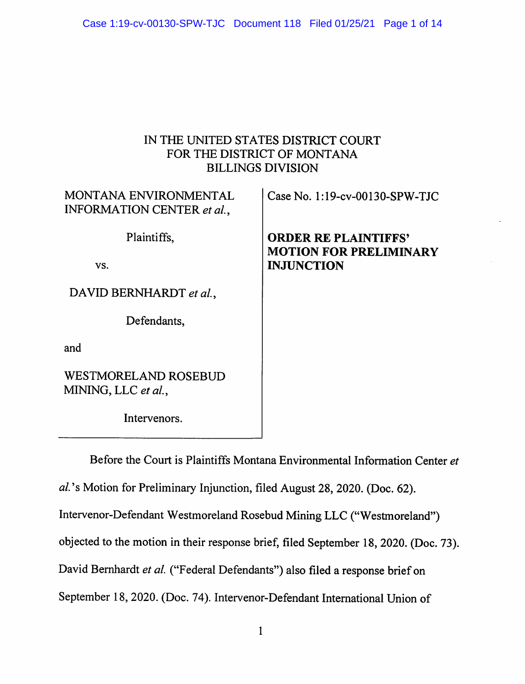# IN THE UNITED STATES DISTRICT COURT FOR THE DISTRICT OF MONTANA BILLINGS DIVISION

| MONTANA ENVIRONMENTAL<br><b>INFORMATION CENTER et al.,</b> | Case No. $1:19$ -cv-00130-SPW-TJC                            |
|------------------------------------------------------------|--------------------------------------------------------------|
| Plaintiffs,                                                | <b>ORDER RE PLAINTIFFS'</b><br><b>MOTION FOR PRELIMINARY</b> |
| VS.                                                        | <b>INJUNCTION</b>                                            |
| DAVID BERNHARDT et al.,                                    |                                                              |
| Defendants,                                                |                                                              |
| and                                                        |                                                              |
| <b>WESTMORELAND ROSEBUD</b><br>MINING, LLC et al.,         |                                                              |

Intervenors.

Before the Court is Plaintiffs Montana Environmental Information Center et

al's Motion for Preliminary Injunction, filed August 28, 2020. (Doc. 62).

Intervenor-Defendant Westmoreland Rosebud Mining LLC ("Westmoreland")

objected to the motion in their response brief, filed September 18, 2020. (Doc. 73).

David Bernhardt et al. ("Federal Defendants") also filed a response brief on

September 18, 2020. (Doc. 74). Intervenor-Defendant International Union of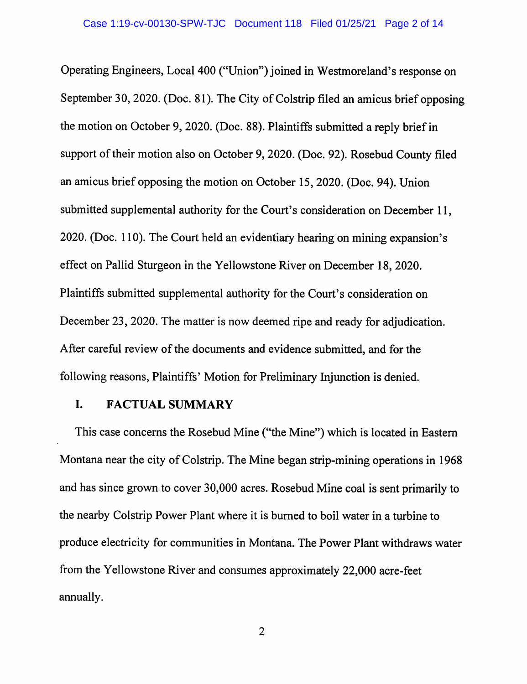Operating Engineers, Local 400 ("Union") joined in Westmoreland's response on September 30, 2020. (Doc. 81). The City of Colstrip filed an amicus brief opposing the motion on October 9, 2020. (Doc. 88). Plaintiffs submitted a reply brief in support of their motion also on October 9, 2020. (Doc. 92). Rosebud County filed an amicus brief opposing the motion on October 15, 2020. (Doc. 94). Union submitted supplemental authority for the Court's consideration on December 11, 2020. (Doc. 110). The Court held an evidentiary hearing on mining expansion's effect on Pallid Sturgeon in the Yellowstone River on December 18, 2020. Plaintiffs submitted supplemental authority for the Court's consideration on December 23, 2020. The matter is now deemed ripe and ready for adjudication. After careful review of the documents and evidence submitted, and for the following reasons, Plaintiffs' Motion for Preliminary Injunction is denied.

#### I. **FACTUAL SUMMARY**

This case concerns the Rosebud Mine ("the Mine") which is located in Eastern Montana near the city of Colstrip. The Mine began strip-mining operations in 1968 and has since grown to cover 30,000 acres. Rosebud Mine coal is sent primarily to the nearby Colstrip Power Plant where it is burned to boil water in a turbine to produce electricity for communities in Montana. The Power Plant withdraws water from the Yellowstone River and consumes approximately 22,000 acre-feet annually.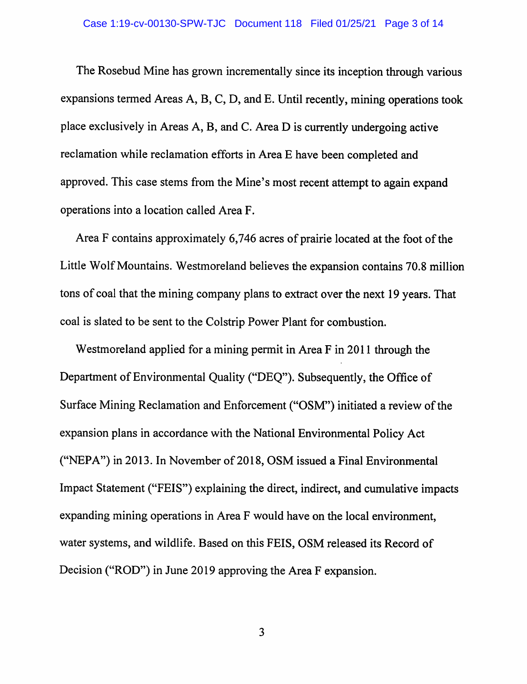The Rosebud Mine has grown incrementally since its inception through various expansions termed Areas A, B, C, D, and E. Until recently, mining operations took place exclusively in Areas A, B, and C. Area D is currently undergoing active reclamation while reclamation efforts in Area E have been completed and approved. This case stems from the Mine's most recent attempt to again expand operations into a location called Area F.

Area F contains approximately 6,746 acres of prairie located at the foot of the Little Wolf Mountains. Westmoreland believes the expansion contains 70.8 million tons of coal that the mining company plans to extract over the next 19 years. That coal is slated to be sent to the Colstrip Power Plant for combustion.

Westmoreland applied for a mining permit in Area F in 2011 through the Department of Environmental Quality ("DEQ"). Subsequently, the Office of Surface Mining Reclamation and Enforcement ("OSM") initiated a review of the expansion plans in accordance with the National Environmental Policy Act ("NEPA") in 2013. In November of 2018, OSM issued a Final Environmental Impact Statement ("FEIS") explaining the direct, indirect, and cumulative impacts expanding mining operations in Area F would have on the local environment, water systems, and wildlife. Based on this FEIS, OSM released its Record of Decision ("ROD") in June 2019 approving the Area F expansion.

 $\mathbf{3}$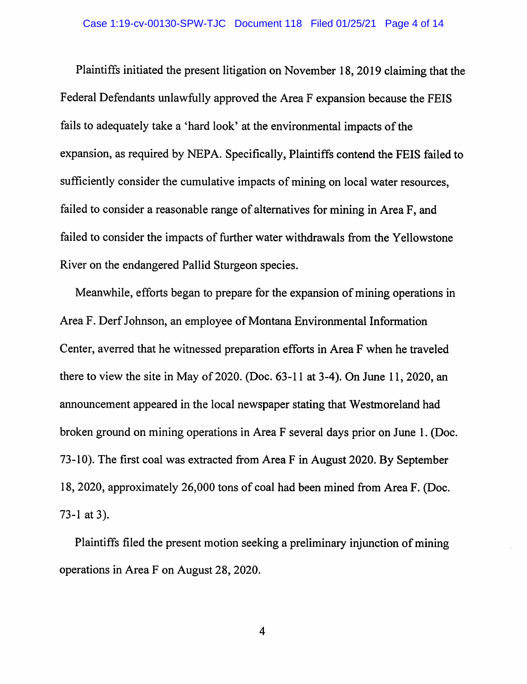Plaintiffs initiated the present litigation on November 18, 2019 claiming that the Federal Defendants unlawfully approved the Area F expansion because the FEIS fails to adequately take a 'hard look' at the environmental impacts of the expansion, as required by NEPA. Specifically, Plaintiffs contend the FEIS failed to sufficiently consider the cumulative impacts of mining on local water resources, failed to consider a reasonable range of alternatives for mining in Area F, and failed to consider the impacts of further water withdrawals from the Yellowstone River on the endangered Pallid Sturgeon species.

Meanwhile, efforts began to prepare for the expansion of mining operations in Area F. Derf Johnson, an employee of Montana Environmental Information Center, averred that he witnessed preparation efforts in Area F when he traveled there to view the site in May of 2020. (Doc.  $63-11$  at 3-4). On June 11, 2020, an announcement appeared in the local newspaper stating that Westmoreland had broken ground on mining operations in Area F several days prior on June 1. (Doc. 73-10). The first coal was extracted from Area F in August 2020. By September 18, 2020, approximately 26,000 tons of coal had been mined from Area F. (Doc. 73-1 at 3).

Plaintiffs filed the present motion seeking a preliminary injunction of mining operations in Area F on August 28, 2020.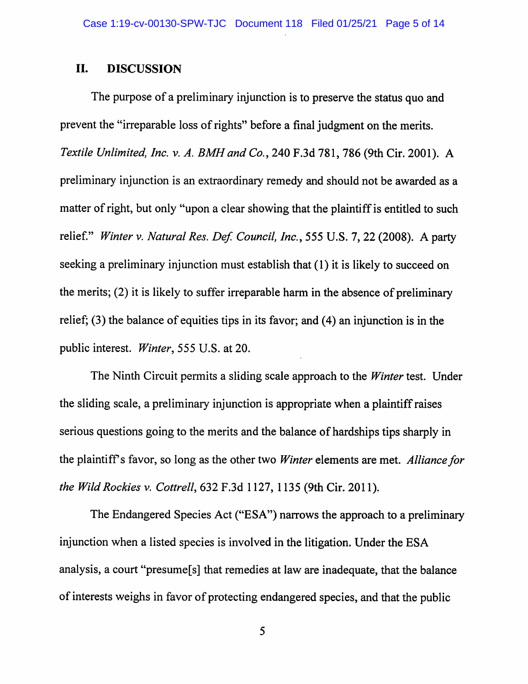#### II. **DISCUSSION**

The purpose of a preliminary injunction is to preserve the status quo and prevent the "irreparable loss of rights" before a final judgment on the merits. Textile Unlimited, Inc. v. A. BMH and Co., 240 F.3d 781, 786 (9th Cir. 2001). A preliminary injunction is an extraordinary remedy and should not be awarded as a matter of right, but only "upon a clear showing that the plaintiff is entitled to such relief." Winter v. Natural Res. Def. Council, Inc., 555 U.S. 7, 22 (2008). A party seeking a preliminary injunction must establish that (1) it is likely to succeed on the merits; (2) it is likely to suffer irreparable harm in the absence of preliminary relief;  $(3)$  the balance of equities tips in its favor; and  $(4)$  an injunction is in the public interest. *Winter*, 555 U.S. at 20.

The Ninth Circuit permits a sliding scale approach to the *Winter* test. Under the sliding scale, a preliminary injunction is appropriate when a plaintiff raises serious questions going to the merits and the balance of hardships tips sharply in the plaintiff's favor, so long as the other two *Winter* elements are met. *Alliance for* the Wild Rockies v. Cottrell, 632 F.3d 1127, 1135 (9th Cir. 2011).

The Endangered Species Act ("ESA") narrows the approach to a preliminary injunction when a listed species is involved in the litigation. Under the ESA analysis, a court "presume[s] that remedies at law are inadequate, that the balance of interests weighs in favor of protecting endangered species, and that the public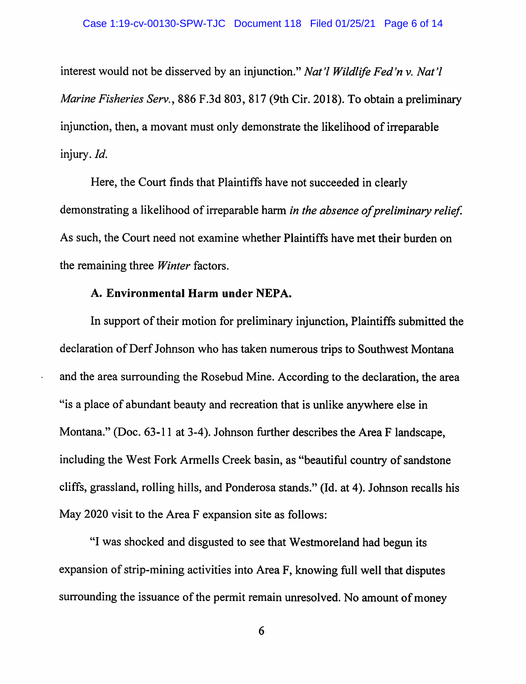interest would not be disserved by an injunction." Nat'l Wildlife Fed'n v. Nat'l *Marine Fisheries Serv.*, 886 F.3d 803, 817 (9th Cir. 2018). To obtain a preliminary injunction, then, a movant must only demonstrate the likelihood of irreparable injury. Id.

Here, the Court finds that Plaintiffs have not succeeded in clearly demonstrating a likelihood of irreparable harm in the absence of preliminary relief. As such, the Court need not examine whether Plaintiffs have met their burden on the remaining three *Winter* factors.

## A. Environmental Harm under NEPA.

In support of their motion for preliminary injunction, Plaintiffs submitted the declaration of Derf Johnson who has taken numerous trips to Southwest Montana and the area surrounding the Rosebud Mine. According to the declaration, the area "is a place of abundant beauty and recreation that is unlike anywhere else in Montana." (Doc. 63-11 at 3-4). Johnson further describes the Area F landscape, including the West Fork Armells Creek basin, as "beautiful country of sandstone" cliffs, grassland, rolling hills, and Ponderosa stands." (Id. at 4). Johnson recalls his May 2020 visit to the Area F expansion site as follows:

"I was shocked and disgusted to see that Westmoreland had begun its expansion of strip-mining activities into Area F, knowing full well that disputes surrounding the issuance of the permit remain unresolved. No amount of money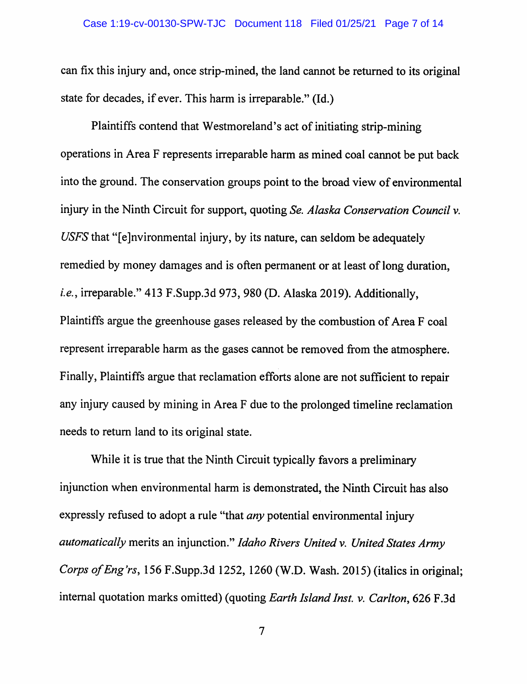can fix this injury and, once strip-mined, the land cannot be returned to its original state for decades, if ever. This harm is irreparable." (Id.)

Plaintiffs contend that Westmoreland's act of initiating strip-mining operations in Area F represents irreparable harm as mined coal cannot be put back into the ground. The conservation groups point to the broad view of environmental injury in the Ninth Circuit for support, quoting Se. Alaska Conservation Council v. USFS that "[e]nvironmental injury, by its nature, can seldom be adequately remedied by money damages and is often permanent or at least of long duration, i.e., irreparable." 413 F.Supp.3d 973, 980 (D. Alaska 2019). Additionally, Plaintiffs argue the greenhouse gases released by the combustion of Area F coal represent irreparable harm as the gases cannot be removed from the atmosphere. Finally, Plaintiffs argue that reclamation efforts alone are not sufficient to repair any injury caused by mining in Area F due to the prolonged timeline reclamation needs to return land to its original state.

While it is true that the Ninth Circuit typically favors a preliminary injunction when environmental harm is demonstrated, the Ninth Circuit has also expressly refused to adopt a rule "that *any* potential environmental injury automatically merits an injunction." Idaho Rivers United v. United States Army Corps of Eng'rs, 156 F.Supp.3d 1252, 1260 (W.D. Wash. 2015) (italics in original; internal quotation marks omitted) (quoting Earth Island Inst. v. Carlton, 626 F.3d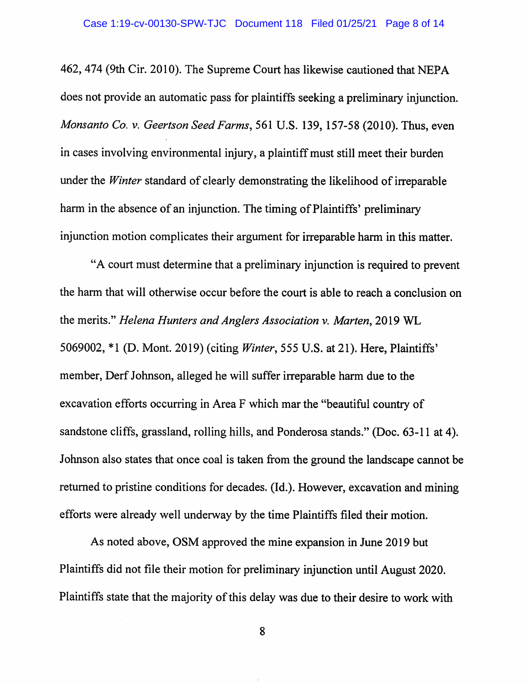462, 474 (9th Cir. 2010). The Supreme Court has likewise cautioned that NEPA does not provide an automatic pass for plaintiffs seeking a preliminary injunction. Monsanto Co. v. Geertson Seed Farms, 561 U.S. 139, 157-58 (2010). Thus, even in cases involving environmental injury, a plaintiff must still meet their burden under the *Winter* standard of clearly demonstrating the likelihood of irreparable harm in the absence of an injunction. The timing of Plaintiffs' preliminary injunction motion complicates their argument for irreparable harm in this matter.

"A court must determine that a preliminary injunction is required to prevent the harm that will otherwise occur before the court is able to reach a conclusion on the merits." Helena Hunters and Anglers Association v. Marten, 2019 WL 5069002, \*1 (D. Mont. 2019) (citing Winter, 555 U.S. at 21). Here, Plaintiffs' member, Derf Johnson, alleged he will suffer irreparable harm due to the excavation efforts occurring in Area F which mar the "beautiful country of sandstone cliffs, grassland, rolling hills, and Ponderosa stands." (Doc. 63-11 at 4). Johnson also states that once coal is taken from the ground the landscape cannot be returned to pristine conditions for decades. (Id.). However, excavation and mining efforts were already well underway by the time Plaintiffs filed their motion.

As noted above, OSM approved the mine expansion in June 2019 but Plaintiffs did not file their motion for preliminary injunction until August 2020. Plaintiffs state that the majority of this delay was due to their desire to work with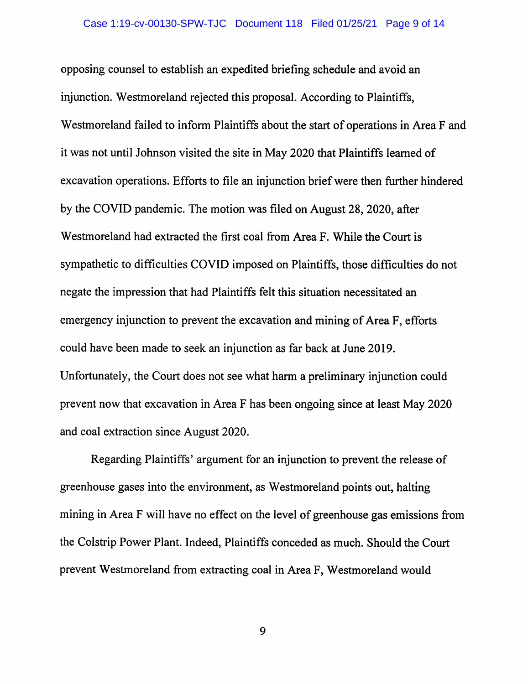opposing counsel to establish an expedited briefing schedule and avoid an injunction. Westmoreland rejected this proposal. According to Plaintiffs, Westmoreland failed to inform Plaintiffs about the start of operations in Area F and it was not until Johnson visited the site in May 2020 that Plaintiffs learned of excavation operations. Efforts to file an injunction brief were then further hindered by the COVID pandemic. The motion was filed on August 28, 2020, after Westmoreland had extracted the first coal from Area F. While the Court is sympathetic to difficulties COVID imposed on Plaintiffs, those difficulties do not negate the impression that had Plaintiffs felt this situation necessitated an emergency injunction to prevent the excavation and mining of Area F, efforts could have been made to seek an injunction as far back at June 2019. Unfortunately, the Court does not see what harm a preliminary injunction could prevent now that excavation in Area F has been ongoing since at least May 2020 and coal extraction since August 2020.

Regarding Plaintiffs' argument for an injunction to prevent the release of greenhouse gases into the environment, as Westmoreland points out, halting mining in Area F will have no effect on the level of greenhouse gas emissions from the Colstrip Power Plant. Indeed, Plaintiffs conceded as much. Should the Court prevent Westmoreland from extracting coal in Area F, Westmoreland would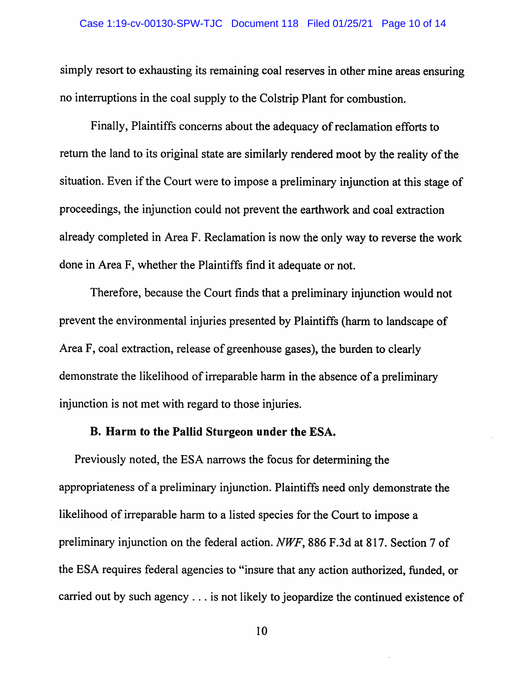simply resort to exhausting its remaining coal reserves in other mine areas ensuring no interruptions in the coal supply to the Colstrip Plant for combustion.

Finally, Plaintiffs concerns about the adequacy of reclamation efforts to return the land to its original state are similarly rendered moot by the reality of the situation. Even if the Court were to impose a preliminary injunction at this stage of proceedings, the injunction could not prevent the earthwork and coal extraction already completed in Area F. Reclamation is now the only way to reverse the work done in Area F, whether the Plaintiffs find it adequate or not.

Therefore, because the Court finds that a preliminary injunction would not prevent the environmental injuries presented by Plaintiffs (harm to landscape of Area F, coal extraction, release of greenhouse gases), the burden to clearly demonstrate the likelihood of irreparable harm in the absence of a preliminary injunction is not met with regard to those injuries.

## B. Harm to the Pallid Sturgeon under the ESA.

Previously noted, the ESA narrows the focus for determining the appropriateness of a preliminary injunction. Plaintiffs need only demonstrate the likelihood of irreparable harm to a listed species for the Court to impose a preliminary injunction on the federal action. NWF, 886 F.3d at 817. Section 7 of the ESA requires federal agencies to "insure that any action authorized, funded, or carried out by such agency . . . is not likely to jeopardize the continued existence of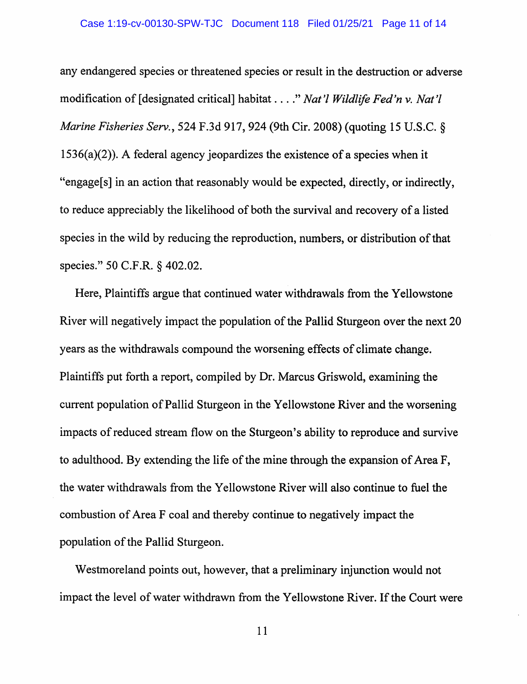any endangered species or threatened species or result in the destruction or adverse modification of [designated critical] habitat . . . ." Nat'l Wildlife Fed'n v. Nat'l *Marine Fisheries Serv.*, 524 F.3d 917, 924 (9th Cir. 2008) (quoting 15 U.S.C. §  $1536(a)(2)$ ). A federal agency jeopardizes the existence of a species when it "engage[s] in an action that reasonably would be expected, directly, or indirectly, to reduce appreciably the likelihood of both the survival and recovery of a listed species in the wild by reducing the reproduction, numbers, or distribution of that species." 50 C.F.R. § 402.02.

Here, Plaintiffs argue that continued water withdrawals from the Yellowstone River will negatively impact the population of the Pallid Sturgeon over the next 20 years as the withdrawals compound the worsening effects of climate change. Plaintiffs put forth a report, compiled by Dr. Marcus Griswold, examining the current population of Pallid Sturgeon in the Yellowstone River and the worsening impacts of reduced stream flow on the Sturgeon's ability to reproduce and survive to adulthood. By extending the life of the mine through the expansion of Area F, the water withdrawals from the Yellowstone River will also continue to fuel the combustion of Area F coal and thereby continue to negatively impact the population of the Pallid Sturgeon.

Westmoreland points out, however, that a preliminary injunction would not impact the level of water withdrawn from the Yellowstone River. If the Court were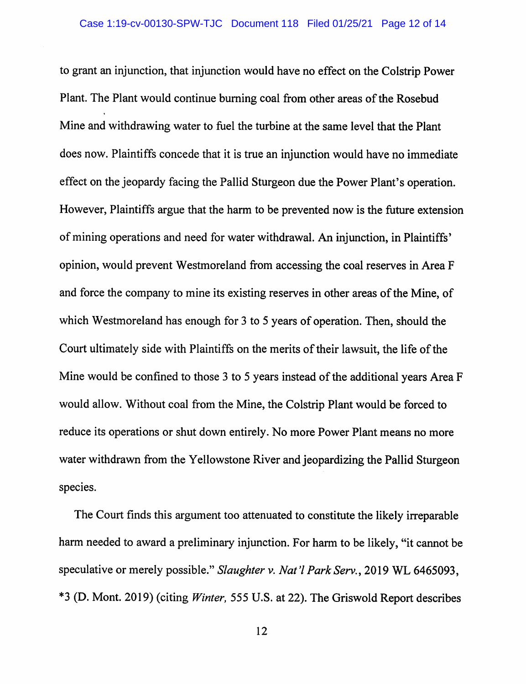to grant an injunction, that injunction would have no effect on the Colstrip Power Plant. The Plant would continue burning coal from other areas of the Rosebud Mine and withdrawing water to fuel the turbine at the same level that the Plant does now. Plaintiffs concede that it is true an injunction would have no immediate effect on the jeopardy facing the Pallid Sturgeon due the Power Plant's operation. However, Plaintiffs argue that the harm to be prevented now is the future extension of mining operations and need for water withdrawal. An injunction, in Plaintiffs' opinion, would prevent Westmoreland from accessing the coal reserves in Area F and force the company to mine its existing reserves in other areas of the Mine, of which Westmoreland has enough for 3 to 5 years of operation. Then, should the Court ultimately side with Plaintiffs on the merits of their lawsuit, the life of the Mine would be confined to those 3 to 5 years instead of the additional years Area F would allow. Without coal from the Mine, the Colstrip Plant would be forced to reduce its operations or shut down entirely. No more Power Plant means no more water withdrawn from the Yellowstone River and jeopardizing the Pallid Sturgeon species.

The Court finds this argument too attenuated to constitute the likely irreparable harm needed to award a preliminary injunction. For harm to be likely, "it cannot be speculative or merely possible." Slaughter v. Nat'l Park Serv., 2019 WL 6465093, \*3 (D. Mont. 2019) (citing Winter, 555 U.S. at 22). The Griswold Report describes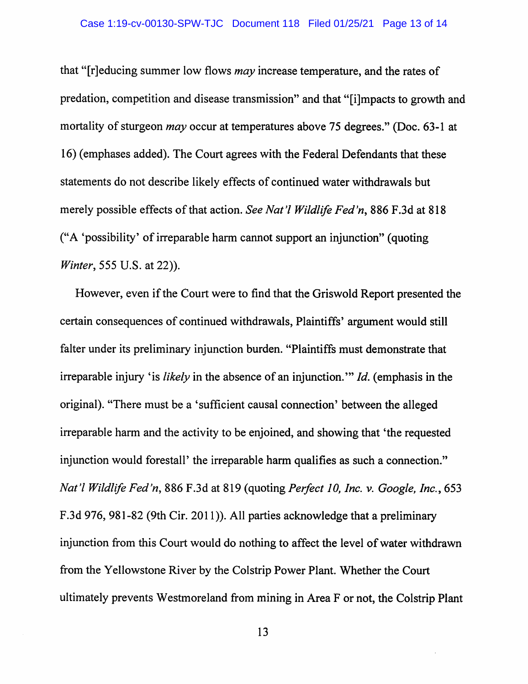that "[r]educing summer low flows *may* increase temperature, and the rates of predation, competition and disease transmission" and that "[i]mpacts to growth and mortality of sturgeon *may* occur at temperatures above 75 degrees." (Doc. 63-1 at 16) (emphases added). The Court agrees with the Federal Defendants that these statements do not describe likely effects of continued water withdrawals but merely possible effects of that action. See Nat'l Wildlife Fed'n, 886 F.3d at 818 ("A 'possibility' of irreparable harm cannot support an injunction" (quoting *Winter*, 555 U.S. at 22)).

However, even if the Court were to find that the Griswold Report presented the certain consequences of continued withdrawals, Plaintiffs' argument would still falter under its preliminary injunction burden. "Plaintiffs must demonstrate that irreparable injury 'is likely in the absence of an injunction." Id. (emphasis in the original). "There must be a 'sufficient causal connection' between the alleged irreparable harm and the activity to be enjoined, and showing that 'the requested injunction would forestall' the irreparable harm qualifies as such a connection." Nat'l Wildlife Fed'n, 886 F.3d at 819 (quoting Perfect 10, Inc. v. Google, Inc., 653 F.3d 976, 981-82 (9th Cir. 2011)). All parties acknowledge that a preliminary injunction from this Court would do nothing to affect the level of water withdrawn from the Yellowstone River by the Colstrip Power Plant. Whether the Court ultimately prevents Westmoreland from mining in Area F or not, the Colstrip Plant